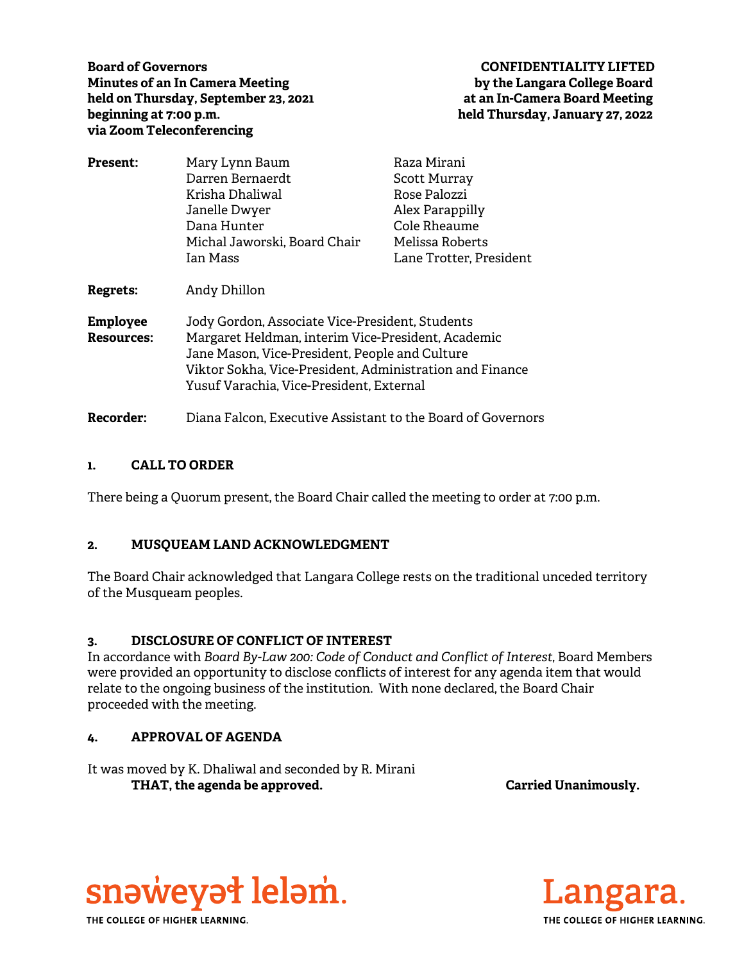**Board of Governors CONFIDENTIALITY LIFTED Minutes of an In Camera Meeting by the Langara College Board**  held on Thursday, September 23, 2021 **at an In-Camera Board Meeting beginning at 7:00 p.m. held Thursday, January 27, 2022 via Zoom Teleconferencing** 

| <b>Present:</b>                      | Mary Lynn Baum                                                                                                                                                                                                                                                  | Raza Mirani             |
|--------------------------------------|-----------------------------------------------------------------------------------------------------------------------------------------------------------------------------------------------------------------------------------------------------------------|-------------------------|
|                                      | Darren Bernaerdt                                                                                                                                                                                                                                                | <b>Scott Murray</b>     |
|                                      | Krisha Dhaliwal                                                                                                                                                                                                                                                 | Rose Palozzi            |
|                                      | Janelle Dwyer                                                                                                                                                                                                                                                   | Alex Parappilly         |
|                                      | Dana Hunter                                                                                                                                                                                                                                                     | Cole Rheaume            |
|                                      | Michal Jaworski, Board Chair                                                                                                                                                                                                                                    | Melissa Roberts         |
|                                      | Ian Mass                                                                                                                                                                                                                                                        | Lane Trotter, President |
| Regrets:                             | Andy Dhillon                                                                                                                                                                                                                                                    |                         |
| <b>Employee</b><br><b>Resources:</b> | Jody Gordon, Associate Vice-President, Students<br>Margaret Heldman, interim Vice-President, Academic<br>Jane Mason, Vice-President, People and Culture<br>Viktor Sokha, Vice-President, Administration and Finance<br>Yusuf Varachia, Vice-President, External |                         |
| <b>Recorder:</b>                     | Diana Falcon, Executive Assistant to the Board of Governors                                                                                                                                                                                                     |                         |

## **1. CALL TO ORDER**

There being a Quorum present, the Board Chair called the meeting to order at 7:00 p.m.

# **2. MUSQUEAM LAND ACKNOWLEDGMENT**

The Board Chair acknowledged that Langara College rests on the traditional unceded territory of the Musqueam peoples.

### **3. DISCLOSURE OF CONFLICT OF INTEREST**

In accordance with *Board By-Law 200: Code of Conduct and Conflict of Interest*, Board Members were provided an opportunity to disclose conflicts of interest for any agenda item that would relate to the ongoing business of the institution. With none declared, the Board Chair proceeded with the meeting.

# **4. APPROVAL OF AGENDA**

It was moved by K. Dhaliwal and seconded by R. Mirani THAT, the agenda be approved. **Carried Unanimously.** Carried Unanimously.